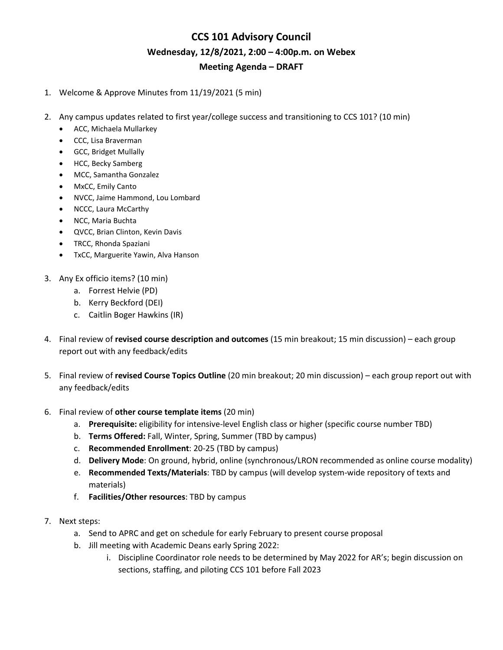## **CCS 101 Advisory Council Wednesday, 12/8/2021, 2:00 – 4:00p.m. on Webex Meeting Agenda – DRAFT**

- 1. Welcome & Approve Minutes from 11/19/2021 (5 min)
- 2. Any campus updates related to first year/college success and transitioning to CCS 101? (10 min)
	- ACC, Michaela Mullarkey
	- CCC, Lisa Braverman
	- GCC, Bridget Mullally
	- HCC, Becky Samberg
	- MCC, Samantha Gonzalez
	- MxCC, Emily Canto
	- NVCC, Jaime Hammond, Lou Lombard
	- NCCC, Laura McCarthy
	- NCC, Maria Buchta
	- QVCC, Brian Clinton, Kevin Davis
	- TRCC, Rhonda Spaziani
	- TxCC, Marguerite Yawin, Alva Hanson
- 3. Any Ex officio items? (10 min)
	- a. Forrest Helvie (PD)
	- b. Kerry Beckford (DEI)
	- c. Caitlin Boger Hawkins (IR)
- 4. Final review of **revised course description and outcomes** (15 min breakout; 15 min discussion) each group report out with any feedback/edits
- 5. Final review of **revised Course Topics Outline** (20 min breakout; 20 min discussion) each group report out with any feedback/edits
- 6. Final review of **other course template items** (20 min)
	- a. **Prerequisite:** eligibility for intensive-level English class or higher (specific course number TBD)
	- b. **Terms Offered:** Fall, Winter, Spring, Summer (TBD by campus)
	- c. **Recommended Enrollment**: 20-25 (TBD by campus)
	- d. **Delivery Mode**: On ground, hybrid, online (synchronous/LRON recommended as online course modality)
	- e. **Recommended Texts/Materials**: TBD by campus (will develop system-wide repository of texts and materials)
	- f. **Facilities/Other resources**: TBD by campus
- 7. Next steps:
	- a. Send to APRC and get on schedule for early February to present course proposal
	- b. Jill meeting with Academic Deans early Spring 2022:
		- i. Discipline Coordinator role needs to be determined by May 2022 for AR's; begin discussion on sections, staffing, and piloting CCS 101 before Fall 2023